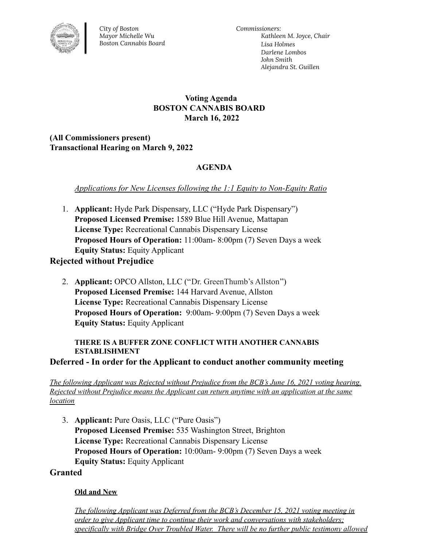

*City of Boston Mayor Michelle Wu Boston Cannabis Board* *Commissioners: Kathleen M. Joyce, Chair Lisa Holmes Darlene Lombos John Smith Alejandra St. Guillen*

### **Voting Agenda BOSTON CANNABIS BOARD March 16, 2022**

**(All Commissioners present) Transactional Hearing on March 9, 2022**

# **AGENDA**

*Applications for New Licenses following the 1:1 Equity to Non-Equity Ratio*

1. **Applicant:** Hyde Park Dispensary, LLC ("Hyde Park Dispensary") **Proposed Licensed Premise:** 1589 Blue Hill Avenue, Mattapan **License Type:** Recreational Cannabis Dispensary License **Proposed Hours of Operation:** 11:00am- 8:00pm (7) Seven Days a week **Equity Status:** Equity Applicant

# **Rejected without Prejudice**

2. **Applicant:** OPCO Allston, LLC ("Dr. GreenThumb's Allston") **Proposed Licensed Premise:** 144 Harvard Avenue, Allston **License Type:** Recreational Cannabis Dispensary License **Proposed Hours of Operation:** 9:00am- 9:00pm (7) Seven Days a week **Equity Status:** Equity Applicant

#### **THERE IS A BUFFER ZONE CONFLICT WITH ANOTHER CANNABIS ESTABLISHMENT**

**Deferred - In order for the Applicant to conduct another community meeting**

*The following Applicant was Rejected without Prejudice from the BCB's June 16, 2021 voting hearing. Rejected without Prejudice means the Applicant can return anytime with an application at the same location*

3. **Applicant:** Pure Oasis, LLC ("Pure Oasis") **Proposed Licensed Premise:** 535 Washington Street, Brighton **License Type:** Recreational Cannabis Dispensary License **Proposed Hours of Operation:** 10:00am- 9:00pm (7) Seven Days a week **Equity Status:** Equity Applicant

#### **Granted**

#### **Old and New**

*The following Applicant was Deferred from the BCB's December 15, 2021 voting meeting in order to give Applicant time to continue their work and conversations with stakeholders; specifically with Bridge Over Troubled Water. There will be no further public testimony allowed*